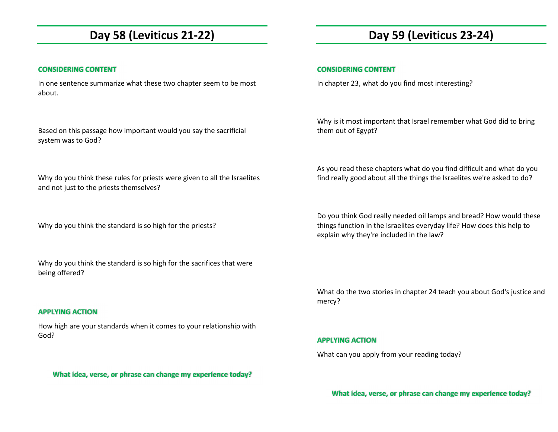# **Day 58 (Leviticus 21-22)**

### **CONSIDERING CONTENT**

In one sentence summarize what these two chapter seem to be most about.

Based on this passage how important would you say the sacrificial system was to God?

Why do you think these rules for priests were given to all the Israelites and not just to the priests themselves?

Why do you think the standard is so high for the priests?

Why do you think the standard is so high for the sacrifices that were being offered?

### **APPLYING ACTION**

How high are your standards when it comes to your relationship with God?

**What idea, verse, or phrase can change my experience today?** 

# **Day 59 (Leviticus 23-24)**

### **CONSIDERING CONTENT**

In chapter 23, what do you find most interesting?

Why is it most important that Israel remember what God did to bring them out of Egypt?

As you read these chapters what do you find difficult and what do you find really good about all the things the Israelites we're asked to do?

Do you think God really needed oil lamps and bread? How would these things function in the Israelites everyday life? How does this help to explain why they're included in the law?

What do the two stories in chapter 24 teach you about God's justice and mercy?

#### **APPLYING ACTION**

What can you apply from your reading today?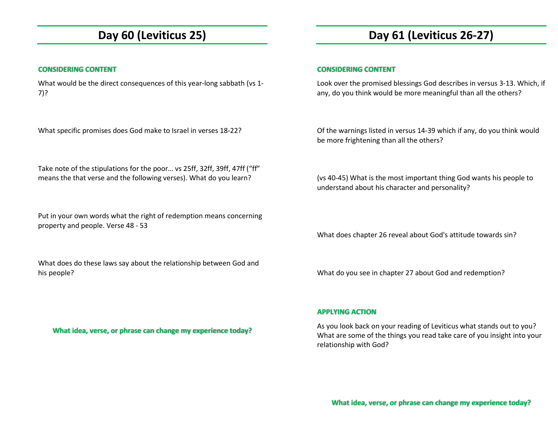# **Day 60 (Leviticus 25)**

### **CONSIDERING CONTENT**

What would be the direct consequences of this year-long sabbath (vs 1-7)?

What specific promises does God make to Israel in verses 18-22?

Take note of the stipulations for the poor… vs 25ff, 32ff, 39ff, 47ff ("ff" means the that verse and the following verses). What do you learn?

Put in your own words what the right of redemption means concerning property and people. Verse 48 - 53

What does do these laws say about the relationship between God and his people?

**Day 61 (Leviticus 26-27)** 

### **CONSIDERING CONTENT**

Look over the promised blessings God describes in versus 3-13. Which, if any, do you think would be more meaningful than all the others?

Of the warnings listed in versus 14-39 which if any, do you think would be more frightening than all the others?

(vs 40-45) What is the most important thing God wants his people to understand about his character and personality?

What does chapter 26 reveal about God's attitude towards sin?

What do you see in chapter 27 about God and redemption?

**APPLYING ACTION** 

As you look back on your reading of Leviticus what stands out to you? What are some of the things you read take care of you insight into your relationship with God?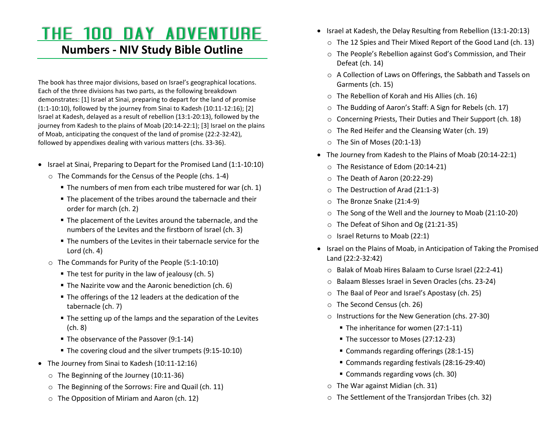# THE 100 DAY ADVENTURE

### **Numbers - NIV Study Bible Outline**

The book has three major divisions, based on Israel's geographical locations. Each of the three divisions has two parts, as the following breakdown demonstrates: [1] Israel at Sinai, preparing to depart for the land of promise (1:1-10:10), followed by the journey from Sinai to Kadesh (10:11-12:16); [2] Israel at Kadesh, delayed as a result of rebellion (13:1-20:13), followed by the journey from Kadesh to the plains of Moab (20:14-22:1); [3] Israel on the plains of Moab, anticipating the conquest of the land of promise (22:2-32:42), followed by appendixes dealing with various matters (chs. 33-36).

- Israel at Sinai, Preparing to Depart for the Promised Land (1:1-10:10)
	- o The Commands for the Census of the People (chs. 1-4)
		- The numbers of men from each tribe mustered for war (ch. 1)
		- The placement of the tribes around the tabernacle and their order for march (ch. 2)
		- The placement of the Levites around the tabernacle, and the numbers of the Levites and the firstborn of Israel (ch. 3)
		- The numbers of the Levites in their tabernacle service for the Lord (ch. 4)
	- o The Commands for Purity of the People (5:1-10:10)
		- The test for purity in the law of jealousy (ch. 5)
		- The Nazirite vow and the Aaronic benediction (ch. 6)
		- The offerings of the 12 leaders at the dedication of the tabernacle (ch. 7)
		- The setting up of the lamps and the separation of the Levites (ch. 8)
		- The observance of the Passover (9:1-14)
		- The covering cloud and the silver trumpets (9:15-10:10)
- The Journey from Sinai to Kadesh (10:11-12:16)
	- $\circ$  The Beginning of the Journey (10:11-36)
	- o The Beginning of the Sorrows: Fire and Quail (ch. 11)
	- o The Opposition of Miriam and Aaron (ch. 12)
- Israel at Kadesh, the Delay Resulting from Rebellion (13:1-20:13)
	- o The 12 Spies and Their Mixed Report of the Good Land (ch. 13)
	- o The People's Rebellion against God's Commission, and Their Defeat (ch. 14)
	- o A Collection of Laws on Offerings, the Sabbath and Tassels on Garments (ch. 15)
	- $\circ$  The Rebellion of Korah and His Allies (ch. 16)
	- o The Budding of Aaron's Staff: A Sign for Rebels (ch. 17)
	- o Concerning Priests, Their Duties and Their Support (ch. 18)
	- o The Red Heifer and the Cleansing Water (ch. 19)
	- $\circ$  The Sin of Moses (20:1-13)
- The Journey from Kadesh to the Plains of Moab (20:14-22:1)
	- o The Resistance of Edom (20:14-21)
	- o The Death of Aaron (20:22-29)
	- o The Destruction of Arad (21:1-3)
	- $\circ$  The Bronze Snake (21:4-9)
	- o The Song of the Well and the Journey to Moab (21:10-20)
	- o The Defeat of Sihon and Og (21:21-35)
	- o Israel Returns to Moab (22:1)
- Israel on the Plains of Moab, in Anticipation of Taking the Promised Land (22:2-32:42)
	- o Balak of Moab Hires Balaam to Curse Israel (22:2-41)
	- o Balaam Blesses Israel in Seven Oracles (chs. 23-24)
	- o The Baal of Peor and Israel's Apostasy (ch. 25)
	- o The Second Census (ch. 26)
	- o Instructions for the New Generation (chs. 27-30)
		- The inheritance for women (27:1-11)
		- The successor to Moses (27:12-23)
		- Commands regarding offerings (28:1-15)
		- Commands regarding festivals (28:16-29:40)
		- Commands regarding vows (ch. 30)
	- o The War against Midian (ch. 31)
	- o The Settlement of the Transjordan Tribes (ch. 32)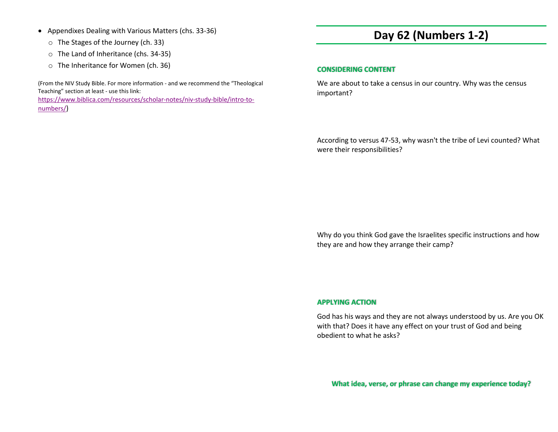- Appendixes Dealing with Various Matters (chs. 33-36)
	- o The Stages of the Journey (ch. 33)
	- o The Land of Inheritance (chs. 34-35)
	- o The Inheritance for Women (ch. 36)

(From the NIV Study Bible. For more information - and we recommend the "Theological Teaching" section at least - use this link:

 https://www.biblica.com/resources/scholar-notes/niv-study-bible/intro-tonumbers/)

# **Day 62 (Numbers 1-2)**

### **CONSIDERING CONTENT**

We are about to take a census in our country. Why was the census important?

According to versus 47-53, why wasn't the tribe of Levi counted? What were their responsibilities?

Why do you think God gave the Israelites specific instructions and how they are and how they arrange their camp?

### **APPLYING ACTION**

God has his ways and they are not always understood by us. Are you OK with that? Does it have any effect on your trust of God and being obedient to what he asks?